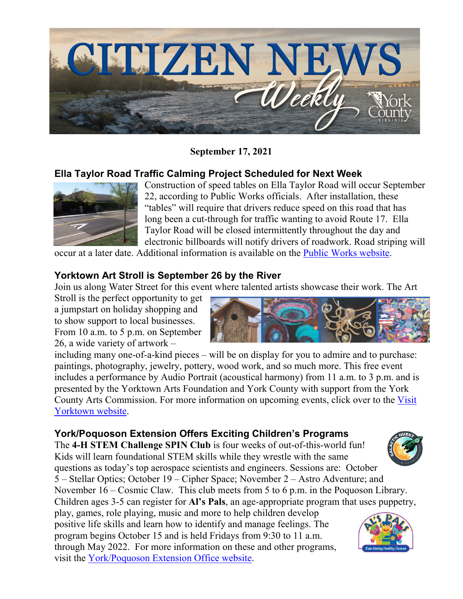

**September 17, 2021**

## **Ella Taylor Road Traffic Calming Project Scheduled for Next Week**



Construction of speed tables on Ella Taylor Road will occur September 22, according to Public Works officials. After installation, these "tables" will require that drivers reduce speed on this road that has long been a cut-through for traffic wanting to avoid Route 17. Ella Taylor Road will be closed intermittently throughout the day and electronic billboards will notify drivers of roadwork. Road striping will

occur at a later date. Additional information is available on the [Public Works website.](https://www.yorkcounty.gov/380/Public-Works)

## **Yorktown Art Stroll is September 26 by the River**

Join us along Water Street for this event where talented artists showcase their work. The Art

Stroll is the perfect opportunity to get a jumpstart on holiday shopping and to show support to local businesses. From 10 a.m. to 5 p.m. on September 26, a wide variety of artwork –



including many one-of-a-kind pieces – will be on display for you to admire and to purchase: paintings, photography, jewelry, pottery, wood work, and so much more. This free event includes a performance by Audio Portrait (acoustical harmony) from 11 a.m. to 3 p.m. and is presented by the Yorktown Arts Foundation and York County with support from the York County Arts Commission. For more information on upcoming events, click over to the [Visit](https://www.visityorktown.org/)  [Yorktown website.](https://www.visityorktown.org/)

## **York/Poquoson Extension Offers Exciting Children's Programs**

The **4-H STEM Challenge SPIN Club** is four weeks of out-of-this-world fun! Kids will learn foundational STEM skills while they wrestle with the same questions as today's top aerospace scientists and engineers. Sessions are: October 5 – Stellar Optics; October 19 – Cipher Space; November 2 – Astro Adventure; and

November 16 – Cosmic Claw. This club meets from 5 to 6 p.m. in the Poquoson Library. Children ages 3-5 can register for **Al's Pals**, an age-appropriate program that uses puppetry,

play, games, role playing, music and more to help children develop positive life skills and learn how to identify and manage feelings. The program begins October 15 and is held Fridays from 9:30 to 11 a.m. through May 2022. For more information on these and other programs, visit the [York/Poquoson Extension Office website.](https://www.yorkcounty.gov/1015/Virginia-Cooperative-Extension)